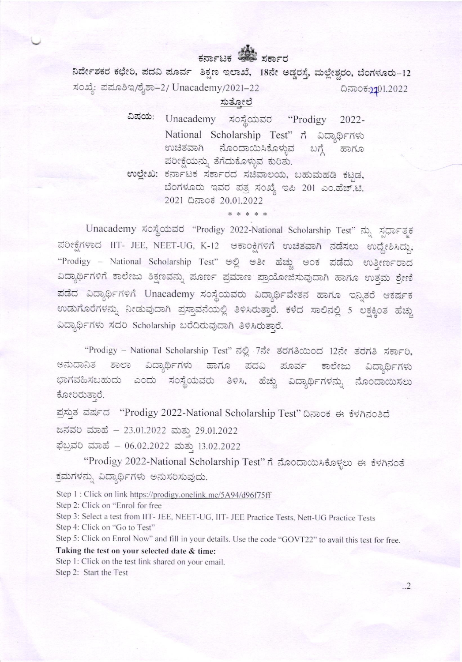## ಕರ್ನಾಟಕ ಚಿತ್ರ ಸರ್ಕಾರ

ನಿರ್ದೇಶಕರ ಕಛೇರಿ, ಪದವಿ ಪೂರ್ವ ಶಿಕ್ಷಣ ಇಲಾಖೆ, 18ನೇ ಅಡ್ಡರಸ್ತೆ, ಮಲ್ಲೇಶ್ವರಂ, ಬೆಂಗಳೂರು-12 ಸಂಖ್ಯೆ: ಪಮೂಶಿಇ/ಶೈಶಾ–2/ Unacademy/2021–22 ದಿನಾಂಕ:2101.2022

ಸುತ್ತೋಲೆ

ವಿಷಯ: Unacademy ಸಂಸ್ಥೆಯವರ "Prodigy  $2022 -$ National Scholarship Test" ಗೆ ವಿದ್ಯಾರ್ಥಿಗಳು ಉಚಿತವಾಗಿ ನೊಂದಾಯಿಸಿಕೊಳ್ಳುವ ಬಗೆ ಹಾಗೂ ಪರೀಕ್ಷೆಯನ್ನು ತೆಗೆದುಕೊಳ್ಳುವ ಕುರಿತು. ಉಲ್ಲೇಖ: ಕರ್ನಾಟಕ ಸರ್ಕಾರದ ಸಚಿವಾಲಯ, ಬಹುಮಹಡಿ ಕಟ್ಟಡ,

ಬೆಂಗಳೂರು ಇವರ ಪತ್ರ ಸಂಖ್ಯೆ ಇಪಿ 201 ಎಂ.ಹೆಚ್.ಟಿ. 2021 ದಿನಾಂಕ 20.01.2022

\* \* \* \* \*

Unacademy ಸಂಸ್ಥೆಯವರ "Prodigy 2022-National Scholarship Test" ನ್ನು ಸ್ಪರ್ಧಾತ್ಮಕ ಪರೀಕ್ಷೆಗಳಾದ IIT- JEE, NEET-UG, K-12 ಆಕಾಂಕ್ಷಿಗಳಿಗೆ ಉಚಿತವಾಗಿ ನಡೆಸಲು ಉದ್ದೇಶಿಸಿದ್ದು, "Prodigy - National Scholarship Test" ಅಲ್ಲಿ ಅತೀ ಹೆಚ್ಚು ಅಂಕ ಪಡೆದು ಉತೀರ್ಣರಾದ ವಿದ್ಯಾರ್ಥಿಗಳಿಗೆ ಕಾಲೇಜು ಶಿಕ್ಷಣವನ್ನು ಪೂರ್ಣ ಪ್ರಮಾಣ ಪ್ರಾಯೋಜಿಸುವುದಾಗಿ ಹಾಗೂ ಉತ್ತಮ ಶ್ರೇಣಿ ಪಡೆದ ವಿದ್ಯಾರ್ಥಿಗಳಿಗೆ Unacademy ಸಂಸ್ಥೆಯವರು ವಿದ್ಯಾರ್ಥಿವೇತನ ಹಾಗೂ ಇನ್ನಿತರೆ ಆಕರ್ಷಕ ಉಡುಗೊರೆಗಳನ್ನು ನೀಡುವುದಾಗಿ ಪ್ರಸ್ತಾವನೆಯಲ್ಲಿ ತಿಳಿಸಿರುತ್ತಾರೆ. ಕಳೆದ ಸಾಲಿನಲ್ಲಿ 5 ಲಕ್ಷಕ್ಕಿಂತ ಹೆಚ್ಚು ವಿದ್ಯಾರ್ಥಿಗಳು ಸದರಿ Scholarship ಬರೆದಿರುವುದಾಗಿ ತಿಳಿಸಿರುತ್ತಾರೆ.

"Prodigy - National Scholarship Test" ನಲ್ಲಿ 7ನೇ ತರಗತಿಯಿಂದ 12ನೇ ತರಗತಿ ಸರ್ಕಾರಿ, ವಿದ್ಯಾರ್ಥಿಗಳು ಹಾಗೂ ಪದವಿ ಪೂರ್ವ ಕಾಲೇಜು ಅನುದಾನಿತ ಶಾಲಾ ವಿದ್ಯಾರ್ಥಿಗಳು ಎಂದು ಸಂಸ್ಥೆಯವರು ತಿಳಿಸಿ, ಹೆಚ್ಚು ವಿದ್ಯಾರ್ಥಿಗಳನ್ನು ನೊಂದಾಯಿಸಲು ಭಾಗವಹಿಸಬಹುದು ಕೋರಿರುತ್ತಾರೆ.

ಪ್ರಸ್ತುತ ವರ್ಷದ "Prodigy 2022-National Scholarship Test" ದಿನಾಂಕ ಈ ಕೆಳಗಿನಂತಿದೆ

ಜನವರಿ ಮಾಹೆ - 23.01.2022 ಮತ್ತು 29.01.2022

ಫೆಬ್ರವರಿ ಮಾಹೆ – 06.02.2022 ಮತ್ತು 13.02.2022

"Prodigy 2022-National Scholarship Test" ಗೆ ನೊಂದಾಯಿಸಿಕೊಳ್ಳಲು ಈ ಕೆಳಗಿನಂತೆ ಕ್ರಮಗಳನ್ನು ವಿದ್ಯಾರ್ಥಿಗಳು ಅನುಸರಿಸುವುದು.

Step 1 : Click on link https://prodigy.onelink.me/5A94/d96f75ff

Step 2: Click on "Enrol for free

Step 3: Select a test from IIT- JEE, NEET-UG, IIT- JEE Practice Tests, Nett-UG Practice Tests

Step 4: Click on "Go to Test"

Step 5: Click on Enrol Now" and fill in your details. Use the code "GOVT22" to avail this test for free.

Taking the test on your selected date & time:

Step 1: Click on the test link shared on your email. Step 2: Start the Test

 $.2$